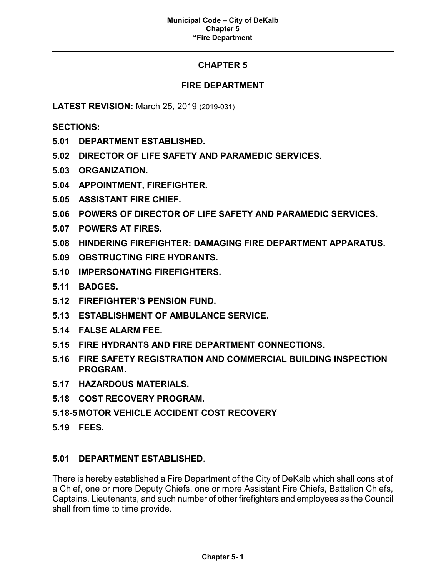# **CHAPTER 5**

# **FIRE DEPARTMENT**

**LATEST REVISION:** March 25, 2019 (2019-031)

**SECTIONS:**

- **5.01 DEPARTMENT ESTABLISHED.**
- **5.02 DIRECTOR OF LIFE SAFETY AND PARAMEDIC SERVICES.**
- **5.03 ORGANIZATION.**
- **5.04 APPOINTMENT, FIREFIGHTER***.*
- **5.05 ASSISTANT FIRE CHIEF.**
- **5.06 POWERS OF DIRECTOR OF LIFE SAFETY AND PARAMEDIC SERVICES.**
- **5.07 POWERS AT FIRES.**
- **5.08 HINDERING FIREFIGHTER: DAMAGING FIRE DEPARTMENT APPARATUS.**
- **5.09 OBSTRUCTING FIRE HYDRANTS.**
- **5.10 IMPERSONATING FIREFIGHTERS.**
- **5.11 BADGES.**
- **5.12 FIREFIGHTER'S PENSION FUND.**
- **5.13 ESTABLISHMENT OF AMBULANCE SERVICE.**
- **5.14 FALSE ALARM FEE.**
- **5.15 FIRE HYDRANTS AND FIRE DEPARTMENT CONNECTIONS.**
- **5.16 FIRE SAFETY REGISTRATION AND COMMERCIAL BUILDING INSPECTION PROGRAM.**
- **5.17 HAZARDOUS MATERIALS.**
- **5.18 COST RECOVERY PROGRAM.**
- **5.18-5 MOTOR VEHICLE ACCIDENT COST RECOVERY**
- **5.19 FEES.**

## **5.01 DEPARTMENT ESTABLISHED**.

There is hereby established a Fire Department of the City of DeKalb which shall consist of a Chief, one or more Deputy Chiefs, one or more Assistant Fire Chiefs, Battalion Chiefs, Captains, Lieutenants, and such number of other firefighters and employees as the Council shall from time to time provide.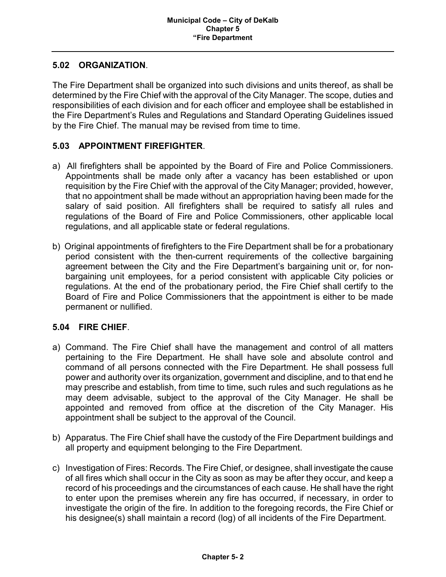## **5.02 ORGANIZATION**.

The Fire Department shall be organized into such divisions and units thereof, as shall be determined by the Fire Chief with the approval of the City Manager. The scope, duties and responsibilities of each division and for each officer and employee shall be established in the Fire Department's Rules and Regulations and Standard Operating Guidelines issued by the Fire Chief. The manual may be revised from time to time.

## **5.03 APPOINTMENT FIREFIGHTER**.

- a) All firefighters shall be appointed by the Board of Fire and Police Commissioners. Appointments shall be made only after a vacancy has been established or upon requisition by the Fire Chief with the approval of the City Manager; provided, however, that no appointment shall be made without an appropriation having been made for the salary of said position. All firefighters shall be required to satisfy all rules and regulations of the Board of Fire and Police Commissioners, other applicable local regulations, and all applicable state or federal regulations.
- b) Original appointments of firefighters to the Fire Department shall be for a probationary period consistent with the then-current requirements of the collective bargaining agreement between the City and the Fire Department's bargaining unit or, for nonbargaining unit employees, for a period consistent with applicable City policies or regulations. At the end of the probationary period, the Fire Chief shall certify to the Board of Fire and Police Commissioners that the appointment is either to be made permanent or nullified.

# **5.04 FIRE CHIEF**.

- a) Command. The Fire Chief shall have the management and control of all matters pertaining to the Fire Department. He shall have sole and absolute control and command of all persons connected with the Fire Department. He shall possess full power and authority over its organization, government and discipline, and to that end he may prescribe and establish, from time to time, such rules and such regulations as he may deem advisable, subject to the approval of the City Manager. He shall be appointed and removed from office at the discretion of the City Manager. His appointment shall be subject to the approval of the Council.
- b) Apparatus. The Fire Chief shall have the custody of the Fire Department buildings and all property and equipment belonging to the Fire Department.
- c) Investigation of Fires: Records. The Fire Chief, or designee, shall investigate the cause of all fires which shall occur in the City as soon as may be after they occur, and keep a record of his proceedings and the circumstances of each cause. He shall have the right to enter upon the premises wherein any fire has occurred, if necessary, in order to investigate the origin of the fire. In addition to the foregoing records, the Fire Chief or his designee(s) shall maintain a record (log) of all incidents of the Fire Department.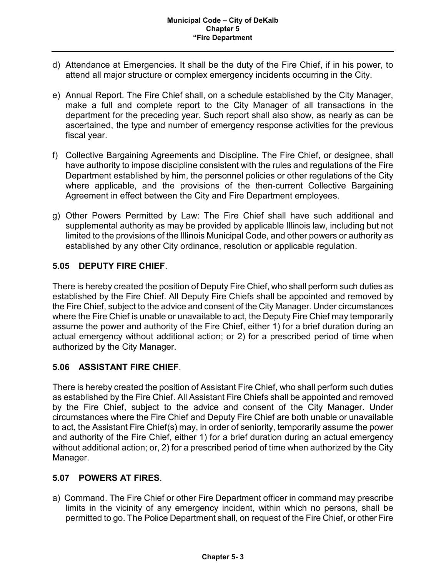- d) Attendance at Emergencies. It shall be the duty of the Fire Chief, if in his power, to attend all major structure or complex emergency incidents occurring in the City.
- e) Annual Report. The Fire Chief shall, on a schedule established by the City Manager, make a full and complete report to the City Manager of all transactions in the department for the preceding year. Such report shall also show, as nearly as can be ascertained, the type and number of emergency response activities for the previous fiscal year.
- f) Collective Bargaining Agreements and Discipline. The Fire Chief, or designee, shall have authority to impose discipline consistent with the rules and regulations of the Fire Department established by him, the personnel policies or other regulations of the City where applicable, and the provisions of the then-current Collective Bargaining Agreement in effect between the City and Fire Department employees.
- g) Other Powers Permitted by Law: The Fire Chief shall have such additional and supplemental authority as may be provided by applicable Illinois law, including but not limited to the provisions of the Illinois Municipal Code, and other powers or authority as established by any other City ordinance, resolution or applicable regulation.

# **5.05 DEPUTY FIRE CHIEF**.

There is hereby created the position of Deputy Fire Chief, who shall perform such duties as established by the Fire Chief. All Deputy Fire Chiefs shall be appointed and removed by the Fire Chief, subject to the advice and consent of the City Manager. Under circumstances where the Fire Chief is unable or unavailable to act, the Deputy Fire Chief may temporarily assume the power and authority of the Fire Chief, either 1) for a brief duration during an actual emergency without additional action; or 2) for a prescribed period of time when authorized by the City Manager.

# **5.06 ASSISTANT FIRE CHIEF**.

There is hereby created the position of Assistant Fire Chief, who shall perform such duties as established by the Fire Chief. All Assistant Fire Chiefs shall be appointed and removed by the Fire Chief, subject to the advice and consent of the City Manager. Under circumstances where the Fire Chief and Deputy Fire Chief are both unable or unavailable to act, the Assistant Fire Chief(s) may, in order of seniority, temporarily assume the power and authority of the Fire Chief, either 1) for a brief duration during an actual emergency without additional action; or, 2) for a prescribed period of time when authorized by the City Manager.

# **5.07 POWERS AT FIRES**.

a) Command. The Fire Chief or other Fire Department officer in command may prescribe limits in the vicinity of any emergency incident, within which no persons, shall be permitted to go. The Police Department shall, on request of the Fire Chief, or other Fire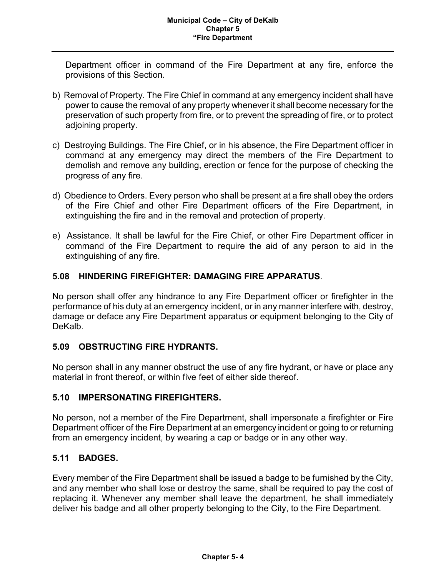Department officer in command of the Fire Department at any fire, enforce the provisions of this Section.

- b) Removal of Property. The Fire Chief in command at any emergency incident shall have power to cause the removal of any property whenever it shall become necessary for the preservation of such property from fire, or to prevent the spreading of fire, or to protect adjoining property.
- c) Destroying Buildings. The Fire Chief, or in his absence, the Fire Department officer in command at any emergency may direct the members of the Fire Department to demolish and remove any building, erection or fence for the purpose of checking the progress of any fire.
- d) Obedience to Orders. Every person who shall be present at a fire shall obey the orders of the Fire Chief and other Fire Department officers of the Fire Department, in extinguishing the fire and in the removal and protection of property.
- e) Assistance. It shall be lawful for the Fire Chief, or other Fire Department officer in command of the Fire Department to require the aid of any person to aid in the extinguishing of any fire.

# **5.08 HINDERING FIREFIGHTER: DAMAGING FIRE APPARATUS**.

No person shall offer any hindrance to any Fire Department officer or firefighter in the performance of his duty at an emergency incident, or in any manner interfere with, destroy, damage or deface any Fire Department apparatus or equipment belonging to the City of DeKalb.

## **5.09 OBSTRUCTING FIRE HYDRANTS.**

No person shall in any manner obstruct the use of any fire hydrant, or have or place any material in front thereof, or within five feet of either side thereof.

## **5.10 IMPERSONATING FIREFIGHTERS.**

No person, not a member of the Fire Department, shall impersonate a firefighter or Fire Department officer of the Fire Department at an emergency incident or going to or returning from an emergency incident, by wearing a cap or badge or in any other way.

## **5.11 BADGES.**

Every member of the Fire Department shall be issued a badge to be furnished by the City, and any member who shall lose or destroy the same, shall be required to pay the cost of replacing it. Whenever any member shall leave the department, he shall immediately deliver his badge and all other property belonging to the City, to the Fire Department.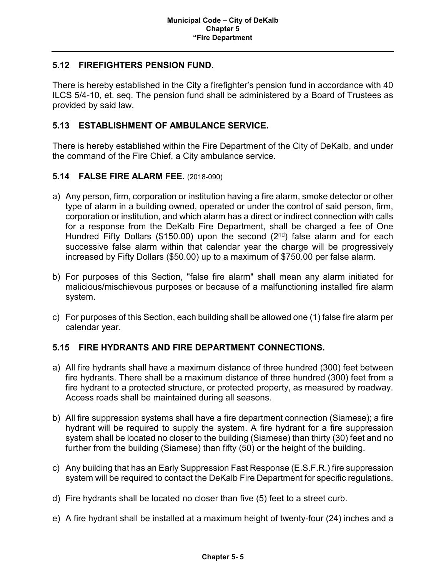## **5.12 FIREFIGHTERS PENSION FUND.**

There is hereby established in the City a firefighter's pension fund in accordance with 40 ILCS 5/4-10, et. seq. The pension fund shall be administered by a Board of Trustees as provided by said law.

## **5.13 ESTABLISHMENT OF AMBULANCE SERVICE.**

There is hereby established within the Fire Department of the City of DeKalb, and under the command of the Fire Chief, a City ambulance service.

#### **5.14 FALSE FIRE ALARM FEE.** (2018-090)

- a) Any person, firm, corporation or institution having a fire alarm, smoke detector or other type of alarm in a building owned, operated or under the control of said person, firm, corporation or institution, and which alarm has a direct or indirect connection with calls for a response from the DeKalb Fire Department, shall be charged a fee of One Hundred Fifty Dollars (\$150.00) upon the second ( $2<sup>nd</sup>$ ) false alarm and for each successive false alarm within that calendar year the charge will be progressively increased by Fifty Dollars (\$50.00) up to a maximum of \$750.00 per false alarm.
- b) For purposes of this Section, "false fire alarm" shall mean any alarm initiated for malicious/mischievous purposes or because of a malfunctioning installed fire alarm system.
- c) For purposes of this Section, each building shall be allowed one (1) false fire alarm per calendar year.

## **5.15 FIRE HYDRANTS AND FIRE DEPARTMENT CONNECTIONS.**

- a) All fire hydrants shall have a maximum distance of three hundred (300) feet between fire hydrants. There shall be a maximum distance of three hundred (300) feet from a fire hydrant to a protected structure, or protected property, as measured by roadway. Access roads shall be maintained during all seasons.
- b) All fire suppression systems shall have a fire department connection (Siamese); a fire hydrant will be required to supply the system. A fire hydrant for a fire suppression system shall be located no closer to the building (Siamese) than thirty (30) feet and no further from the building (Siamese) than fifty (50) or the height of the building.
- c) Any building that has an Early Suppression Fast Response (E.S.F.R.) fire suppression system will be required to contact the DeKalb Fire Department for specific regulations.
- d) Fire hydrants shall be located no closer than five (5) feet to a street curb.
- e) A fire hydrant shall be installed at a maximum height of twenty-four (24) inches and a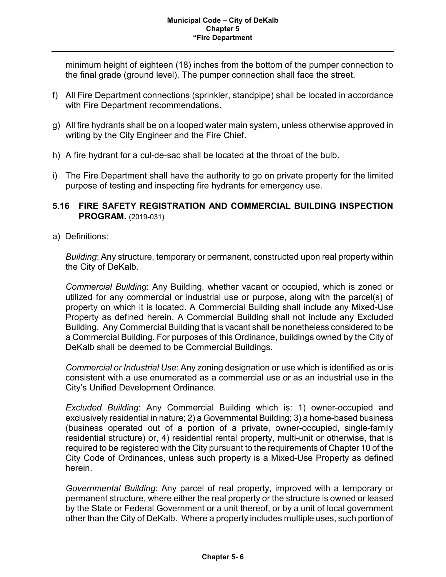minimum height of eighteen (18) inches from the bottom of the pumper connection to the final grade (ground level). The pumper connection shall face the street.

- f) All Fire Department connections (sprinkler, standpipe) shall be located in accordance with Fire Department recommendations.
- g) All fire hydrants shall be on a looped water main system, unless otherwise approved in writing by the City Engineer and the Fire Chief.
- h) A fire hydrant for a cul-de-sac shall be located at the throat of the bulb.
- i) The Fire Department shall have the authority to go on private property for the limited purpose of testing and inspecting fire hydrants for emergency use.
- **5.16 FIRE SAFETY REGISTRATION AND COMMERCIAL BUILDING INSPECTION PROGRAM.** (2019-031)
- a) Definitions:

*Building*: Any structure, temporary or permanent, constructed upon real property within the City of DeKalb.

*Commercial Building*: Any Building, whether vacant or occupied, which is zoned or utilized for any commercial or industrial use or purpose, along with the parcel(s) of property on which it is located. A Commercial Building shall include any Mixed-Use Property as defined herein. A Commercial Building shall not include any Excluded Building. Any Commercial Building that is vacant shall be nonetheless considered to be a Commercial Building. For purposes of this Ordinance, buildings owned by the City of DeKalb shall be deemed to be Commercial Buildings.

*Commercial or Industrial Use*: Any zoning designation or use which is identified as or is consistent with a use enumerated as a commercial use or as an industrial use in the City's Unified Development Ordinance.

*Excluded Building*: Any Commercial Building which is: 1) owner-occupied and exclusively residential in nature; 2) a Governmental Building; 3) a home-based business (business operated out of a portion of a private, owner-occupied, single-family residential structure) or, 4) residential rental property, multi-unit or otherwise, that is required to be registered with the City pursuant to the requirements of Chapter 10 of the City Code of Ordinances, unless such property is a Mixed-Use Property as defined herein.

*Governmental Building*: Any parcel of real property, improved with a temporary or permanent structure, where either the real property or the structure is owned or leased by the State or Federal Government or a unit thereof, or by a unit of local government other than the City of DeKalb. Where a property includes multiple uses, such portion of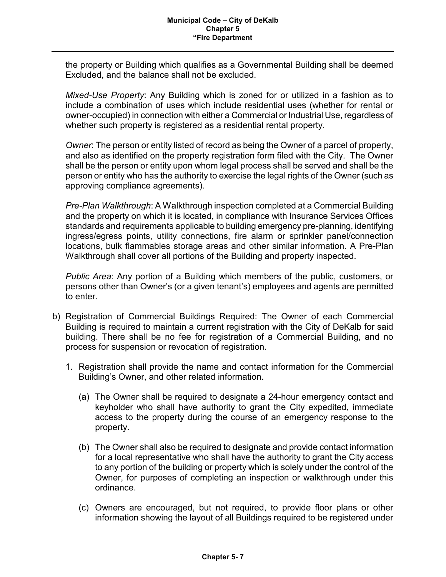the property or Building which qualifies as a Governmental Building shall be deemed Excluded, and the balance shall not be excluded.

*Mixed-Use Property*: Any Building which is zoned for or utilized in a fashion as to include a combination of uses which include residential uses (whether for rental or owner-occupied) in connection with either a Commercial or Industrial Use, regardless of whether such property is registered as a residential rental property.

*Owner*: The person or entity listed of record as being the Owner of a parcel of property, and also as identified on the property registration form filed with the City. The Owner shall be the person or entity upon whom legal process shall be served and shall be the person or entity who has the authority to exercise the legal rights of the Owner (such as approving compliance agreements).

*Pre-Plan Walkthrough*: A Walkthrough inspection completed at a Commercial Building and the property on which it is located, in compliance with Insurance Services Offices standards and requirements applicable to building emergency pre-planning, identifying ingress/egress points, utility connections, fire alarm or sprinkler panel/connection locations, bulk flammables storage areas and other similar information. A Pre-Plan Walkthrough shall cover all portions of the Building and property inspected.

*Public Area*: Any portion of a Building which members of the public, customers, or persons other than Owner's (or a given tenant's) employees and agents are permitted to enter.

- b) Registration of Commercial Buildings Required: The Owner of each Commercial Building is required to maintain a current registration with the City of DeKalb for said building. There shall be no fee for registration of a Commercial Building, and no process for suspension or revocation of registration.
	- 1. Registration shall provide the name and contact information for the Commercial Building's Owner, and other related information.
		- (a) The Owner shall be required to designate a 24-hour emergency contact and keyholder who shall have authority to grant the City expedited, immediate access to the property during the course of an emergency response to the property.
		- (b) The Owner shall also be required to designate and provide contact information for a local representative who shall have the authority to grant the City access to any portion of the building or property which is solely under the control of the Owner, for purposes of completing an inspection or walkthrough under this ordinance.
		- (c) Owners are encouraged, but not required, to provide floor plans or other information showing the layout of all Buildings required to be registered under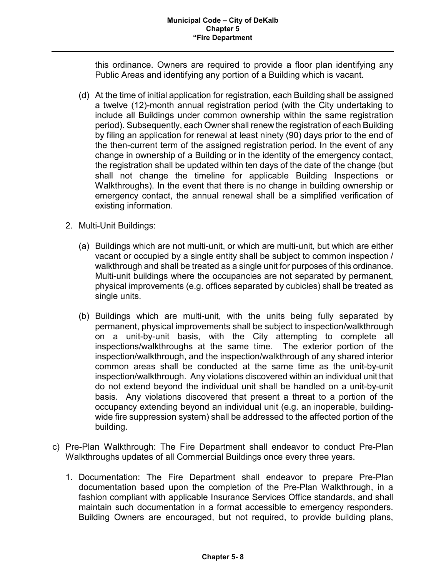this ordinance. Owners are required to provide a floor plan identifying any Public Areas and identifying any portion of a Building which is vacant.

- (d) At the time of initial application for registration, each Building shall be assigned a twelve (12)-month annual registration period (with the City undertaking to include all Buildings under common ownership within the same registration period). Subsequently, each Owner shall renew the registration of each Building by filing an application for renewal at least ninety (90) days prior to the end of the then-current term of the assigned registration period. In the event of any change in ownership of a Building or in the identity of the emergency contact, the registration shall be updated within ten days of the date of the change (but shall not change the timeline for applicable Building Inspections or Walkthroughs). In the event that there is no change in building ownership or emergency contact, the annual renewal shall be a simplified verification of existing information.
- 2. Multi-Unit Buildings:
	- (a) Buildings which are not multi-unit, or which are multi-unit, but which are either vacant or occupied by a single entity shall be subject to common inspection / walkthrough and shall be treated as a single unit for purposes of this ordinance. Multi-unit buildings where the occupancies are not separated by permanent, physical improvements (e.g. offices separated by cubicles) shall be treated as single units.
	- (b) Buildings which are multi-unit, with the units being fully separated by permanent, physical improvements shall be subject to inspection/walkthrough on a unit-by-unit basis, with the City attempting to complete all inspections/walkthroughs at the same time. The exterior portion of the inspection/walkthrough, and the inspection/walkthrough of any shared interior common areas shall be conducted at the same time as the unit-by-unit inspection/walkthrough. Any violations discovered within an individual unit that do not extend beyond the individual unit shall be handled on a unit-by-unit basis. Any violations discovered that present a threat to a portion of the occupancy extending beyond an individual unit (e.g. an inoperable, buildingwide fire suppression system) shall be addressed to the affected portion of the building.
- c) Pre-Plan Walkthrough: The Fire Department shall endeavor to conduct Pre-Plan Walkthroughs updates of all Commercial Buildings once every three years.
	- 1. Documentation: The Fire Department shall endeavor to prepare Pre-Plan documentation based upon the completion of the Pre-Plan Walkthrough, in a fashion compliant with applicable Insurance Services Office standards, and shall maintain such documentation in a format accessible to emergency responders. Building Owners are encouraged, but not required, to provide building plans,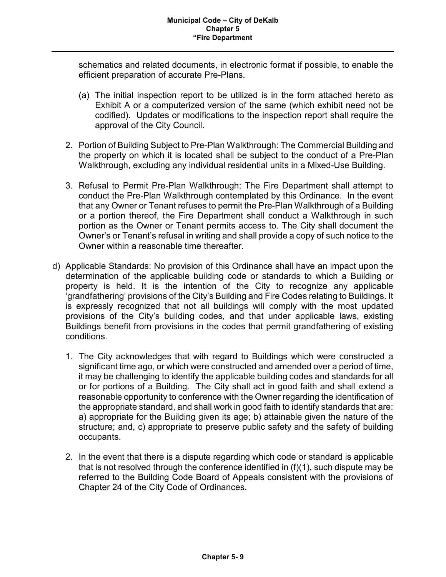schematics and related documents, in electronic format if possible, to enable the efficient preparation of accurate Pre-Plans.

- (a) The initial inspection report to be utilized is in the form attached hereto as Exhibit A or a computerized version of the same (which exhibit need not be codified). Updates or modifications to the inspection report shall require the approval of the City Council.
- 2. Portion of Building Subject to Pre-Plan Walkthrough: The Commercial Building and the property on which it is located shall be subject to the conduct of a Pre-Plan Walkthrough, excluding any individual residential units in a Mixed-Use Building.
- 3. Refusal to Permit Pre-Plan Walkthrough: The Fire Department shall attempt to conduct the Pre-Plan Walkthrough contemplated by this Ordinance. In the event that any Owner or Tenant refuses to permit the Pre-Plan Walkthrough of a Building or a portion thereof, the Fire Department shall conduct a Walkthrough in such portion as the Owner or Tenant permits access to. The City shall document the Owner's or Tenant's refusal in writing and shall provide a copy of such notice to the Owner within a reasonable time thereafter.
- d) Applicable Standards: No provision of this Ordinance shall have an impact upon the determination of the applicable building code or standards to which a Building or property is held. It is the intention of the City to recognize any applicable 'grandfathering' provisions of the City's Building and Fire Codes relating to Buildings. It is expressly recognized that not all buildings will comply with the most updated provisions of the City's building codes, and that under applicable laws, existing Buildings benefit from provisions in the codes that permit grandfathering of existing conditions.
	- 1. The City acknowledges that with regard to Buildings which were constructed a significant time ago, or which were constructed and amended over a period of time, it may be challenging to identify the applicable building codes and standards for all or for portions of a Building. The City shall act in good faith and shall extend a reasonable opportunity to conference with the Owner regarding the identification of the appropriate standard, and shall work in good faith to identify standards that are: a) appropriate for the Building given its age; b) attainable given the nature of the structure; and, c) appropriate to preserve public safety and the safety of building occupants.
	- 2. In the event that there is a dispute regarding which code or standard is applicable that is not resolved through the conference identified in (f)(1), such dispute may be referred to the Building Code Board of Appeals consistent with the provisions of Chapter 24 of the City Code of Ordinances.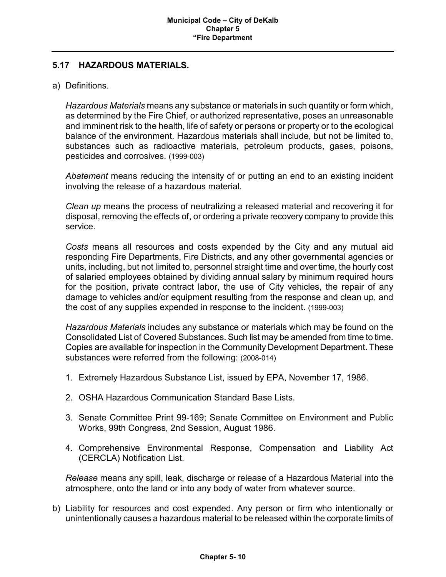## **5.17 HAZARDOUS MATERIALS.**

## a) Definitions.

*Hazardous Materials* means any substance or materials in such quantity or form which, as determined by the Fire Chief, or authorized representative, poses an unreasonable and imminent risk to the health, life of safety or persons or property or to the ecological balance of the environment. Hazardous materials shall include, but not be limited to, substances such as radioactive materials, petroleum products, gases, poisons, pesticides and corrosives. (1999-003)

*Abatement* means reducing the intensity of or putting an end to an existing incident involving the release of a hazardous material.

*Clean up* means the process of neutralizing a released material and recovering it for disposal, removing the effects of, or ordering a private recovery company to provide this service.

*Costs* means all resources and costs expended by the City and any mutual aid responding Fire Departments, Fire Districts, and any other governmental agencies or units, including, but not limited to, personnel straight time and over time, the hourly cost of salaried employees obtained by dividing annual salary by minimum required hours for the position, private contract labor, the use of City vehicles, the repair of any damage to vehicles and/or equipment resulting from the response and clean up, and the cost of any supplies expended in response to the incident. (1999-003)

*Hazardous Materials* includes any substance or materials which may be found on the Consolidated List of Covered Substances. Such list may be amended from time to time. Copies are available for inspection in the Community Development Department. These substances were referred from the following: (2008-014)

- 1. Extremely Hazardous Substance List, issued by EPA, November 17, 1986.
- 2. OSHA Hazardous Communication Standard Base Lists.
- 3. Senate Committee Print 99-169; Senate Committee on Environment and Public Works, 99th Congress, 2nd Session, August 1986.
- 4. Comprehensive Environmental Response, Compensation and Liability Act (CERCLA) Notification List.

*Release* means any spill, leak, discharge or release of a Hazardous Material into the atmosphere, onto the land or into any body of water from whatever source.

b) Liability for resources and cost expended. Any person or firm who intentionally or unintentionally causes a hazardous material to be released within the corporate limits of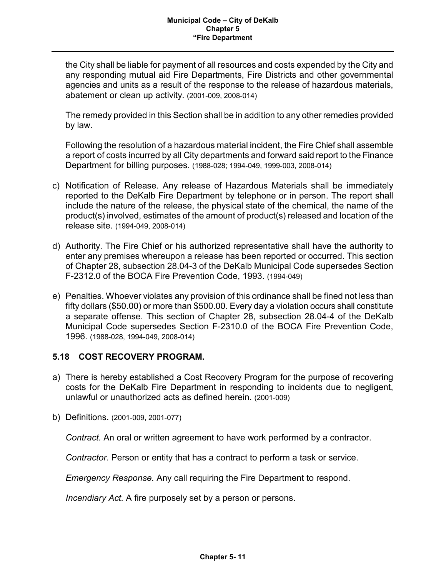the City shall be liable for payment of all resources and costs expended by the City and any responding mutual aid Fire Departments, Fire Districts and other governmental agencies and units as a result of the response to the release of hazardous materials, abatement or clean up activity. (2001-009, 2008-014)

The remedy provided in this Section shall be in addition to any other remedies provided by law.

Following the resolution of a hazardous material incident, the Fire Chief shall assemble a report of costs incurred by all City departments and forward said report to the Finance Department for billing purposes. (1988-028; 1994-049, 1999-003, 2008-014)

- c) Notification of Release. Any release of Hazardous Materials shall be immediately reported to the DeKalb Fire Department by telephone or in person. The report shall include the nature of the release, the physical state of the chemical, the name of the product(s) involved, estimates of the amount of product(s) released and location of the release site. (1994-049, 2008-014)
- d) Authority. The Fire Chief or his authorized representative shall have the authority to enter any premises whereupon a release has been reported or occurred. This section of Chapter 28, subsection 28.04-3 of the DeKalb Municipal Code supersedes Section F-2312.0 of the BOCA Fire Prevention Code, 1993. (1994-049)
- e) Penalties. Whoever violates any provision of this ordinance shall be fined not less than fifty dollars (\$50.00) or more than \$500.00. Every day a violation occurs shall constitute a separate offense. This section of Chapter 28, subsection 28.04-4 of the DeKalb Municipal Code supersedes Section F-2310.0 of the BOCA Fire Prevention Code, 1996. (1988-028, 1994-049, 2008-014)

# **5.18 COST RECOVERY PROGRAM.**

- a) There is hereby established a Cost Recovery Program for the purpose of recovering costs for the DeKalb Fire Department in responding to incidents due to negligent, unlawful or unauthorized acts as defined herein. (2001-009)
- b) Definitions. (2001-009, 2001-077)

*Contract.* An oral or written agreement to have work performed by a contractor.

*Contractor.* Person or entity that has a contract to perform a task or service.

*Emergency Response.* Any call requiring the Fire Department to respond.

*Incendiary Act.* A fire purposely set by a person or persons.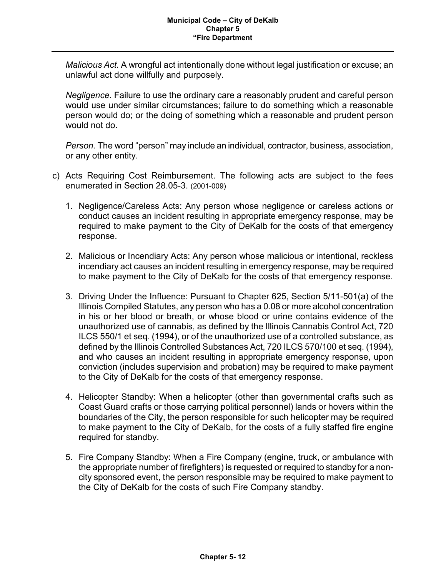*Malicious Act.* A wrongful act intentionally done without legal justification or excuse; an unlawful act done willfully and purposely.

*Negligence.* Failure to use the ordinary care a reasonably prudent and careful person would use under similar circumstances; failure to do something which a reasonable person would do; or the doing of something which a reasonable and prudent person would not do.

*Person.* The word "person" may include an individual, contractor, business, association, or any other entity.

- c) Acts Requiring Cost Reimbursement. The following acts are subject to the fees enumerated in Section 28.05-3. (2001-009)
	- 1. Negligence/Careless Acts: Any person whose negligence or careless actions or conduct causes an incident resulting in appropriate emergency response, may be required to make payment to the City of DeKalb for the costs of that emergency response.
	- 2. Malicious or Incendiary Acts: Any person whose malicious or intentional, reckless incendiary act causes an incident resulting in emergency response, may be required to make payment to the City of DeKalb for the costs of that emergency response.
	- 3. Driving Under the Influence: Pursuant to Chapter 625, Section 5/11-501(a) of the Illinois Compiled Statutes, any person who has a 0.08 or more alcohol concentration in his or her blood or breath, or whose blood or urine contains evidence of the unauthorized use of cannabis, as defined by the Illinois Cannabis Control Act, 720 ILCS 550/1 et seq. (1994), or of the unauthorized use of a controlled substance, as defined by the Illinois Controlled Substances Act, 720 ILCS 570/100 et seq. (1994), and who causes an incident resulting in appropriate emergency response, upon conviction (includes supervision and probation) may be required to make payment to the City of DeKalb for the costs of that emergency response.
	- 4. Helicopter Standby: When a helicopter (other than governmental crafts such as Coast Guard crafts or those carrying political personnel) lands or hovers within the boundaries of the City, the person responsible for such helicopter may be required to make payment to the City of DeKalb, for the costs of a fully staffed fire engine required for standby.
	- 5. Fire Company Standby: When a Fire Company (engine, truck, or ambulance with the appropriate number of firefighters) is requested or required to standby for a noncity sponsored event, the person responsible may be required to make payment to the City of DeKalb for the costs of such Fire Company standby.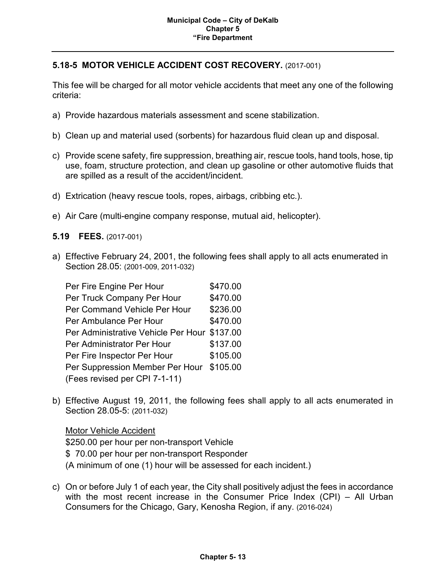# **5.18-5 MOTOR VEHICLE ACCIDENT COST RECOVERY.** (2017-001)

This fee will be charged for all motor vehicle accidents that meet any one of the following criteria:

- a) Provide hazardous materials assessment and scene stabilization.
- b) Clean up and material used (sorbents) for hazardous fluid clean up and disposal.
- c) Provide scene safety, fire suppression, breathing air, rescue tools, hand tools, hose, tip use, foam, structure protection, and clean up gasoline or other automotive fluids that are spilled as a result of the accident/incident.
- d) Extrication (heavy rescue tools, ropes, airbags, cribbing etc.).
- e) Air Care (multi-engine company response, mutual aid, helicopter).

**5.19 FEES.** (2017-001)

a) Effective February 24, 2001, the following fees shall apply to all acts enumerated in Section 28.05: (2001-009, 2011-032)

| Per Fire Engine Per Hour            | \$470.00 |
|-------------------------------------|----------|
| Per Truck Company Per Hour          | \$470.00 |
| Per Command Vehicle Per Hour        | \$236.00 |
| Per Ambulance Per Hour              | \$470.00 |
| Per Administrative Vehicle Per Hour | \$137.00 |
| Per Administrator Per Hour          | \$137.00 |
| Per Fire Inspector Per Hour         | \$105.00 |
| Per Suppression Member Per Hour     | \$105.00 |
| (Fees revised per CPI 7-1-11)       |          |

b) Effective August 19, 2011, the following fees shall apply to all acts enumerated in Section 28.05-5: (2011-032)

## Motor Vehicle Accident

\$250.00 per hour per non-transport Vehicle \$ 70.00 per hour per non-transport Responder (A minimum of one (1) hour will be assessed for each incident.)

c) On or before July 1 of each year, the City shall positively adjust the fees in accordance with the most recent increase in the Consumer Price Index (CPI) – All Urban Consumers for the Chicago, Gary, Kenosha Region, if any. (2016-024)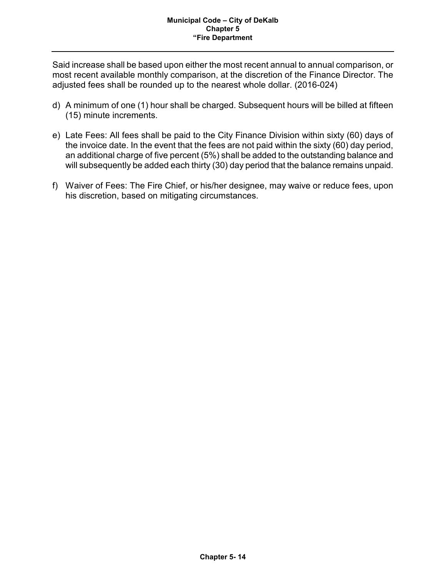Said increase shall be based upon either the most recent annual to annual comparison, or most recent available monthly comparison, at the discretion of the Finance Director. The adjusted fees shall be rounded up to the nearest whole dollar. (2016-024)

- d) A minimum of one (1) hour shall be charged. Subsequent hours will be billed at fifteen (15) minute increments.
- e) Late Fees: All fees shall be paid to the City Finance Division within sixty (60) days of the invoice date. In the event that the fees are not paid within the sixty (60) day period, an additional charge of five percent (5%) shall be added to the outstanding balance and will subsequently be added each thirty (30) day period that the balance remains unpaid.
- f) Waiver of Fees: The Fire Chief, or his/her designee, may waive or reduce fees, upon his discretion, based on mitigating circumstances.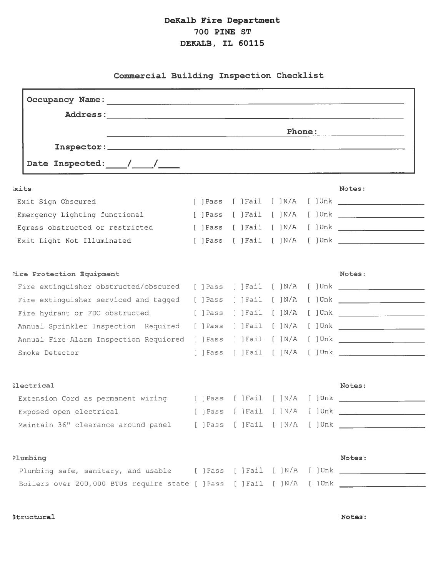# DeKalb Fire Department 700 PINE ST DEKALB, IL 60115

Commercial Building Inspection Checklist

| Occupancy Name:                                                                                                |  |               |        |
|----------------------------------------------------------------------------------------------------------------|--|---------------|--------|
| <u> 1980 - Andrea Stadt Britain, actor a chaidh an t-aiste</u>                                                 |  | <b>Phone:</b> |        |
|                                                                                                                |  |               |        |
|                                                                                                                |  |               |        |
| xits                                                                                                           |  |               | Notes: |
| Exit Sign Obscured                                                                                             |  |               |        |
| Emergency Lighting functional                                                                                  |  |               |        |
| Egress obstructed or restricted                                                                                |  |               |        |
| Exit Light Not Illuminated                                                                                     |  |               |        |
| 'ire Protection Equipment                                                                                      |  |               | Notes: |
| Fire extinguisher obstructed/obscured [ ]Pass [ ]Fail [ ]N/A [ ]Unk _____________                              |  |               |        |
|                                                                                                                |  |               |        |
| Fire hydrant or FDC obstructed [ ]Pass [ ]Fail [ ]N/A [ ]Unk ___________________                               |  |               |        |
| Annual Sprinkler Inspection Required [ ]Pass [ ]Fail [ ]N/A [ ]Unk _______________                             |  |               |        |
| Annual Fire Alarm Inspection Requiored [ ] Pass [ ] Fail [ ] N/A [ ] Unk __________________________            |  |               |        |
| Smoke Detector                                                                                                 |  |               |        |
| <b>Hectrical</b>                                                                                               |  |               | Notes: |
| Extension Cord as permanent wiring [ ] [ ] [ ] [ ] [ ] [ ] [ ] [ ] Unk __________                              |  |               |        |
| Exposed open electrical in the set of season of the set of the set of the season of the season of the season o |  |               |        |
| Maintain 36" clearance around panel [ ]Pass [ ]Fail [ ]N/A [ ]Unk _______________                              |  |               |        |
| ?lumbing                                                                                                       |  |               | Notes: |
|                                                                                                                |  |               |        |
| Boilers over 200,000 BTUs require state [ ]Pass [ ]Fail [ ]N/A [ ]Unk ______________________________           |  |               |        |

Structural

Notes: